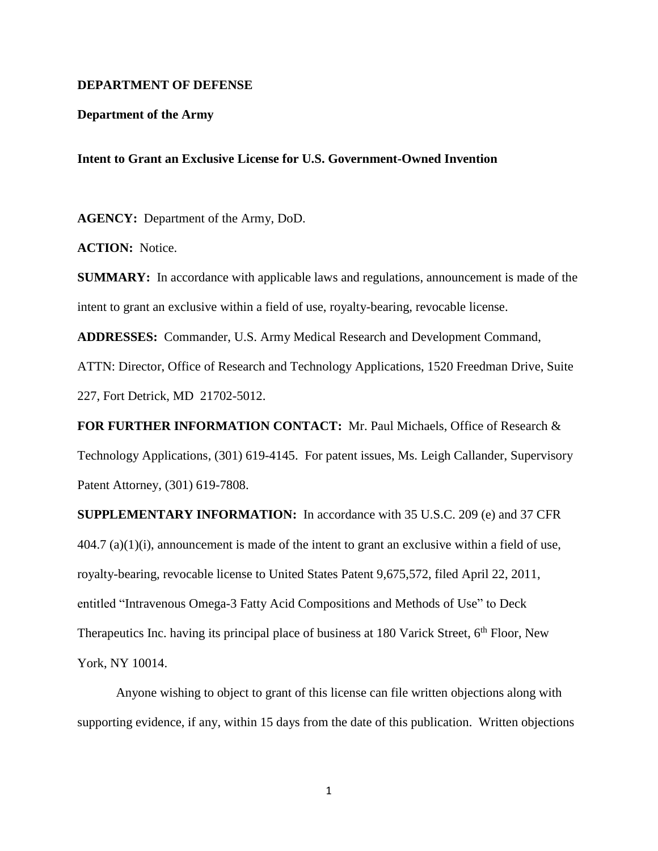## **DEPARTMENT OF DEFENSE**

## **Department of the Army**

## **Intent to Grant an Exclusive License for U.S. Government-Owned Invention**

**AGENCY:** Department of the Army, DoD.

**ACTION:** Notice.

**SUMMARY:** In accordance with applicable laws and regulations, announcement is made of the intent to grant an exclusive within a field of use, royalty-bearing, revocable license.

**ADDRESSES:** Commander, U.S. Army Medical Research and Development Command,

ATTN: Director, Office of Research and Technology Applications, 1520 Freedman Drive, Suite 227, Fort Detrick, MD 21702-5012.

**FOR FURTHER INFORMATION CONTACT:** Mr. Paul Michaels, Office of Research & Technology Applications, (301) 619-4145. For patent issues, Ms. Leigh Callander, Supervisory Patent Attorney, (301) 619-7808.

**SUPPLEMENTARY INFORMATION:** In accordance with 35 U.S.C. 209 (e) and 37 CFR 404.7 (a)(1)(i), announcement is made of the intent to grant an exclusive within a field of use, royalty-bearing, revocable license to United States Patent 9,675,572, filed April 22, 2011, entitled "Intravenous Omega-3 Fatty Acid Compositions and Methods of Use" to Deck Therapeutics Inc. having its principal place of business at 180 Varick Street,  $6<sup>th</sup>$  Floor, New York, NY 10014.

Anyone wishing to object to grant of this license can file written objections along with supporting evidence, if any, within 15 days from the date of this publication. Written objections